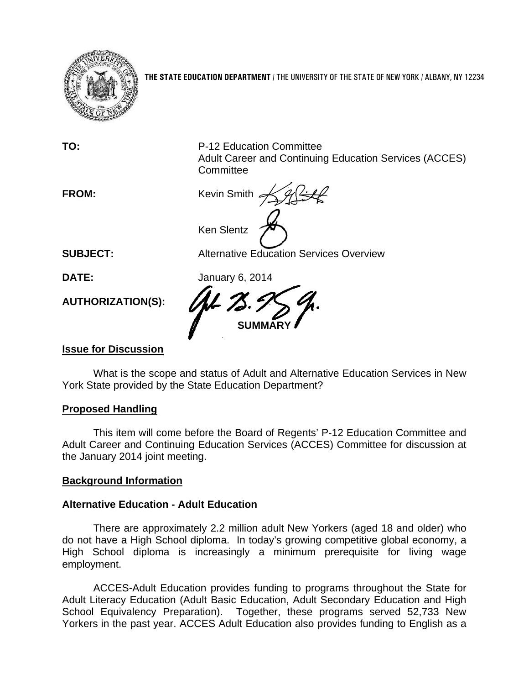

**THE STATE EDUCATION DEPARTMENT** / THE UNIVERSITY OF THE STATE OF NEW YORK / ALBANY, NY 12234

**TO:** P-12 Education Committee Adult Career and Continuing Education Services (ACCES) **Committee FROM: Kevin Smith** Ken Slentz

**SUBJECT:** Alternative Education Services Overview

**DATE:** January 6, 2014

**AUTHORIZATION(S):** 

**SUMMARY** 

# **Issue for Discussion**

What is the scope and status of Adult and Alternative Education Services in New York State provided by the State Education Department?

# **Proposed Handling**

This item will come before the Board of Regents' P-12 Education Committee and Adult Career and Continuing Education Services (ACCES) Committee for discussion at the January 2014 joint meeting.

## **Background Information**

## **Alternative Education - Adult Education**

There are approximately 2.2 million adult New Yorkers (aged 18 and older) who do not have a High School diploma. In today's growing competitive global economy, a High School diploma is increasingly a minimum prerequisite for living wage employment.

ACCES-Adult Education provides funding to programs throughout the State for Adult Literacy Education (Adult Basic Education, Adult Secondary Education and High School Equivalency Preparation). Together, these programs served 52,733 New Yorkers in the past year. ACCES Adult Education also provides funding to English as a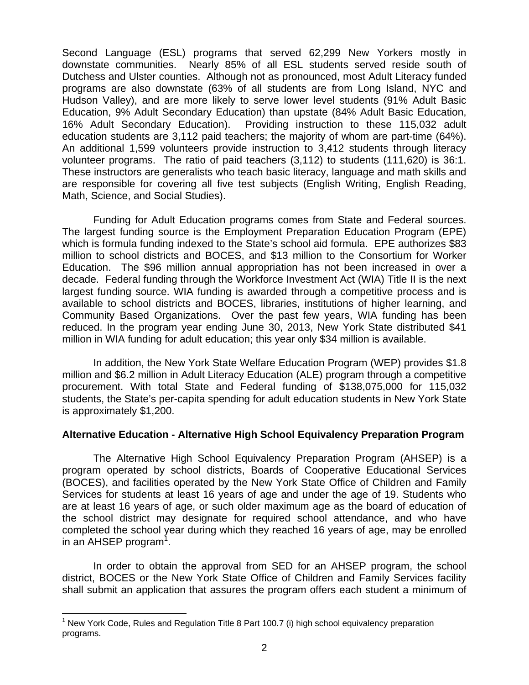Second Language (ESL) programs that served 62,299 New Yorkers mostly in downstate communities. Nearly 85% of all ESL students served reside south of Dutchess and Ulster counties. Although not as pronounced, most Adult Literacy funded programs are also downstate (63% of all students are from Long Island, NYC and Hudson Valley), and are more likely to serve lower level students (91% Adult Basic Education, 9% Adult Secondary Education) than upstate (84% Adult Basic Education, 16% Adult Secondary Education). Providing instruction to these 115,032 adult education students are 3,112 paid teachers; the majority of whom are part-time (64%). An additional 1,599 volunteers provide instruction to 3,412 students through literacy volunteer programs. The ratio of paid teachers (3,112) to students (111,620) is 36:1. These instructors are generalists who teach basic literacy, language and math skills and are responsible for covering all five test subjects (English Writing, English Reading, Math, Science, and Social Studies).

Funding for Adult Education programs comes from State and Federal sources. The largest funding source is the Employment Preparation Education Program (EPE) which is formula funding indexed to the State's school aid formula. EPE authorizes \$83 million to school districts and BOCES, and \$13 million to the Consortium for Worker Education. The \$96 million annual appropriation has not been increased in over a decade. Federal funding through the Workforce Investment Act (WIA) Title II is the next largest funding source. WIA funding is awarded through a competitive process and is available to school districts and BOCES, libraries, institutions of higher learning, and Community Based Organizations. Over the past few years, WIA funding has been reduced. In the program year ending June 30, 2013, New York State distributed \$41 million in WIA funding for adult education; this year only \$34 million is available.

In addition, the New York State Welfare Education Program (WEP) provides \$1.8 million and \$6.2 million in Adult Literacy Education (ALE) program through a competitive procurement. With total State and Federal funding of \$138,075,000 for 115,032 students, the State's per-capita spending for adult education students in New York State is approximately \$1,200.

## **Alternative Education - Alternative High School Equivalency Preparation Program**

The Alternative High School Equivalency Preparation Program (AHSEP) is a program operated by school districts, Boards of Cooperative Educational Services (BOCES), and facilities operated by the New York State Office of Children and Family Services for students at least 16 years of age and under the age of 19. Students who are at least 16 years of age, or such older maximum age as the board of education of the school district may designate for required school attendance, and who have completed the school year during which they reached 16 years of age, may be enrolled in an AHSEP program<sup>1</sup>.

In order to obtain the approval from SED for an AHSEP program, the school district, BOCES or the New York State Office of Children and Family Services facility shall submit an application that assures the program offers each student a minimum of

1

<sup>&</sup>lt;sup>1</sup> New York Code, Rules and Regulation Title 8 Part 100.7 (i) high school equivalency preparation programs.